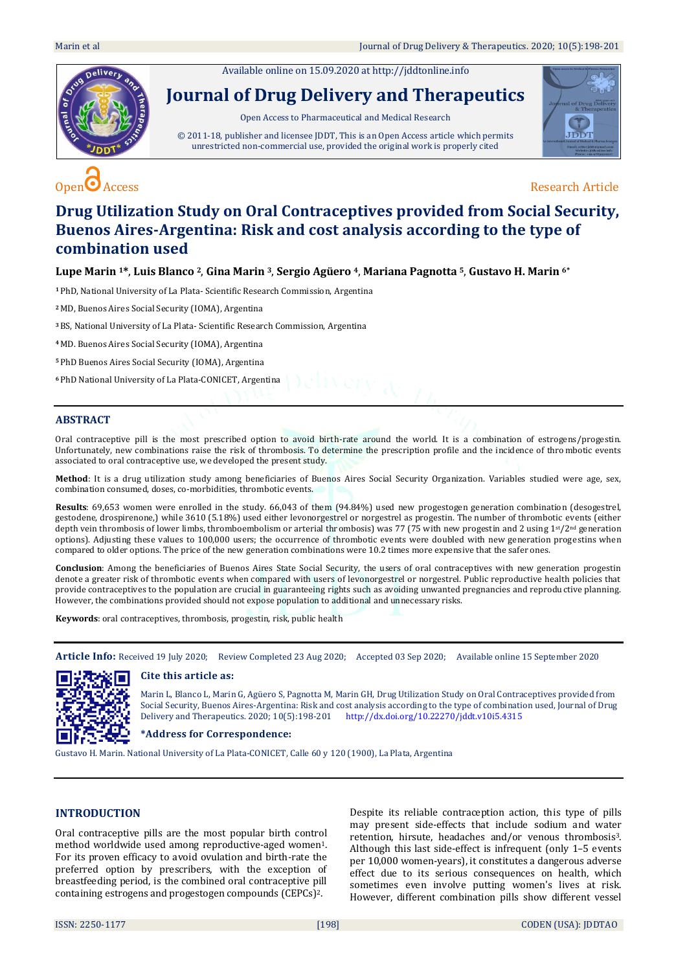Available online on 15.09.2020 a[t http://jddtonline.info](http://jddtonline.info/)



# **Journal of Drug Delivery and Therapeutics**

Open Access to Pharmaceutical and Medical Research

© 2011-18, publisher and licensee JDDT, This is an Open Access article which permits unrestricted non-commercial use, provided the original work is properly cited



# $\overline{O}$  Access Research Article

# **Drug Utilization Study on Oral Contraceptives provided from Social Security, Buenos Aires-Argentina: Risk and cost analysis according to the type of combination used**

**Lupe Marin 1\***, **Luis Blanco 2**, **Gina Marin 3**, **Sergio Agüero 4**, **Mariana Pagnotta 5**, **Gustavo H. Marin 6\***

**<sup>1</sup>** PhD, National University of La Plata- Scientific Research Commission, Argentina

**<sup>2</sup>** MD, Buenos Aires Social Security (IOMA), Argentina

**<sup>3</sup>**BS, National University of La Plata- Scientific Research Commission, Argentina

**<sup>4</sup>**MD. Buenos Aires Social Security (IOMA), Argentina

**<sup>5</sup>** PhD Buenos Aires Social Security (IOMA), Argentina

**<sup>6</sup>** PhD National University of La Plata-CONICET, Argentina

#### **ABSTRACT**

Oral contraceptive pill is the most prescribed option to avoid birth-rate around the world. It is a combination of estrogens/progestin. Unfortunately, new combinations raise the risk of thrombosis. To determine the prescription profile and the incidence of thro mbotic events associated to oral contraceptive use, we developed the present study.

**Method**: It is a drug utilization study among beneficiaries of Buenos Aires Social Security Organization. Variables studied were age, sex, combination consumed, doses, co-morbidities, thrombotic events.

**Results**: 69,653 women were enrolled in the study. 66,043 of them (94.84%) used new progestogen generation combination (desogestrel, gestodene, drospirenone,) while 3610 (5.18%) used either levonorgestrel or norgestrel as progestin. The number of thrombotic events (either depth vein thrombosis of lower limbs, thromboembolism or arterial thrombosis) was 77 (75 with new progestin and 2 using 1<sup>st</sup>/2<sup>nd</sup> generation options). Adjusting these values to 100,000 users; the occurrence of thrombotic events were doubled with new generation progestins when compared to older options. The price of the new generation combinations were 10.2 times more expensive that the safer ones.

**Conclusion**: Among the beneficiaries of Buenos Aires State Social Security, the users of oral contraceptives with new generation progestin denote a greater risk of thrombotic events when compared with users of levonorgestrel or norgestrel. Public reproductive health policies that provide contraceptives to the population are crucial in guaranteeing rights such as avoiding unwanted pregnancies and reproductive planning. However, the combinations provided should not expose population to additional and unnecessary risks.

**Keywords**: oral contraceptives, thrombosis, progestin, risk, public health

**Article Info:** Received 19 July 2020; Review Completed 23 Aug 2020; Accepted 03 Sep 2020; Available online 15 September 2020



#### **Cite this article as:**

Marin L, Blanco L, Marin G, Agüero S, Pagnotta M, Marin GH, Drug Utilization Study on Oral Contraceptives provided from Social Security, Buenos Aires-Argentina: Risk and cost analysis according to the type of combination used, Journal of Drug Delivery and Therapeutics. 2020; 10(5):198-201 <http://dx.doi.org/10.22270/jddt.v10i5.4315>

## **\*Address for Correspondence:**

Gustavo H. Marin. National University of La Plata-CONICET, Calle 60 y 120 (1900), La Plata, Argentina

# **INTRODUCTION**

Oral contraceptive pills are the most popular birth control method worldwide used among reproductive-aged women1. For its proven efficacy to avoid ovulation and birth-rate the preferred option by prescribers, with the exception of breastfeeding period, is the combined oral contraceptive pill containing estrogens and progestogen compounds (CEPCs)2.

Despite its reliable contraception action, this type of pills may present side-effects that include sodium and water retention, hirsute, headaches and/or venous thrombosis3. Although this last side-effect is infrequent (only 1–5 events per 10,000 women-years), it constitutes a dangerous adverse effect due to its serious consequences on health, which sometimes even involve putting women's lives at risk. However, different combination pills show different vessel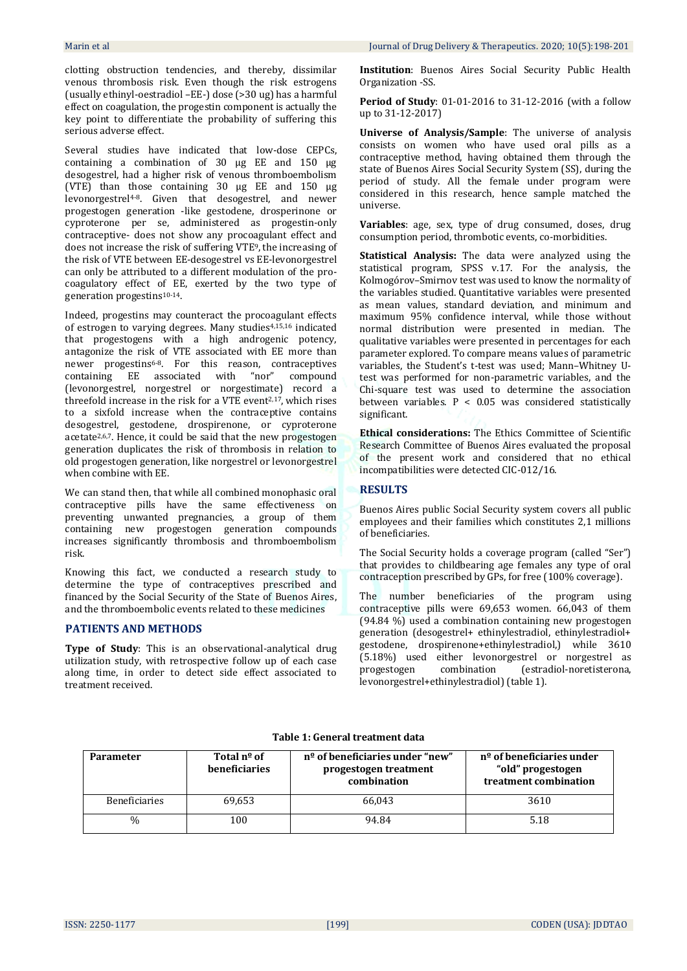clotting obstruction tendencies, and thereby, dissimilar venous thrombosis risk. Even though the risk estrogens (usually ethinyl-oestradiol –EE-) dose (>30 ug) has a harmful effect on coagulation, the progestin component is actually the key point to differentiate the probability of suffering this serious adverse effect.

Several studies have indicated that low-dose CEPCs, containing a combination of 30 µg EE and 150 µg desogestrel, had a higher risk of venous thromboembolism (VTE) than those containing 30 µg EE and 150 µg levonorgestrel4-8. Given that desogestrel, and newer progestogen generation -like gestodene, drosperinone or cyproterone per se, administered as progestin-only contraceptive- does not show any procoagulant effect and does not increase the risk of suffering VTE9, the increasing of the risk of VTE between EE-desogestrel vs EE-levonorgestrel can only be attributed to a different modulation of the procoagulatory effect of EE, exerted by the two type of generation progestins10-14.

Indeed, progestins may counteract the procoagulant effects of estrogen to varying degrees. Many studies4,15,16 indicated that progestogens with a high androgenic potency, antagonize the risk of VTE associated with EE more than newer progestins<sup>6-8</sup>. For this reason, contraceptives containing EE associated with "nor" compound (levonorgestrel, norgestrel or norgestimate) record a threefold increase in the risk for a VTE event2,17, which rises to a sixfold increase when the contraceptive contains desogestrel, gestodene, drospirenone, or cyproterone acetate2,6,7. Hence, it could be said that the new progestogen generation duplicates the risk of thrombosis in relation to old progestogen generation, like norgestrel or levonorgestrel when combine with EE.

We can stand then, that while all combined monophasic oral contraceptive pills have the same effectiveness on preventing unwanted pregnancies, a group of them containing new progestogen generation compounds increases significantly thrombosis and thromboembolism risk.

Knowing this fact, we conducted a research study to determine the type of contraceptives prescribed and financed by the Social Security of the State of Buenos Aires, and the thromboembolic events related to these medicines

## **PATIENTS AND METHODS**

**Type of Study**: This is an observational-analytical drug utilization study, with retrospective follow up of each case along time, in order to detect side effect associated to treatment received.

**Institution**: Buenos Aires Social Security Public Health Organization -SS.

**Period of Study**: 01-01-2016 to 31-12-2016 (with a follow up to 31-12-2017)

**Universe of Analysis/Sample**: The universe of analysis consists on women who have used oral pills as a contraceptive method, having obtained them through the state of Buenos Aires Social Security System (SS), during the period of study. All the female under program were considered in this research, hence sample matched the universe.

**Variables**: age, sex, type of drug consumed, doses, drug consumption period, thrombotic events, co-morbidities.

**Statistical Analysis:** The data were analyzed using the statistical program, SPSS v.17. For the analysis, the Kolmogórov–Smirnov test was used to know the normality of the variables studied. Quantitative variables were presented as mean values, standard deviation, and minimum and maximum 95% confidence interval, while those without normal distribution were presented in median. The qualitative variables were presented in percentages for each parameter explored. To compare means values of parametric variables, the Student's t-test was used; Mann–Whitney Utest was performed for non-parametric variables, and the Chi-square test was used to determine the association between variables. P < 0.05 was considered statistically significant.

**Ethical considerations:** The Ethics Committee of Scientific Research Committee of Buenos Aires evaluated the proposal of the present work and considered that no ethical incompatibilities were detected CIC-012/16.

## **RESULTS**

Buenos Aires public Social Security system covers all public employees and their families which constitutes 2,1 millions of beneficiaries.

The Social Security holds a coverage program (called "Ser") that provides to childbearing age females any type of oral contraception prescribed by GPs, for free (100% coverage).

The number beneficiaries of the program using contraceptive pills were 69,653 women. 66,043 of them (94.84 %) used a combination containing new progestogen generation (desogestrel+ ethinylestradiol, ethinylestradiol+ gestodene, drospirenone+ethinylestradiol,) while 3610 (5.18%) used either levonorgestrel or norgestrel as progestogen combination (estradiol-noretisterona, levonorgestrel+ethinylestradiol) (table 1).

#### **Table 1: General treatment data**

| <b>Parameter</b>     | Total nº of<br>beneficiaries | $no$ of beneficiaries under "new"<br>progestogen treatment<br>combination | n <sup>o</sup> of beneficiaries under<br>"old" progestogen<br>treatment combination |
|----------------------|------------------------------|---------------------------------------------------------------------------|-------------------------------------------------------------------------------------|
| <b>Beneficiaries</b> | 69.653                       | 66.043                                                                    | 3610                                                                                |
| $\%$                 | 100                          | 94.84                                                                     | 5.18                                                                                |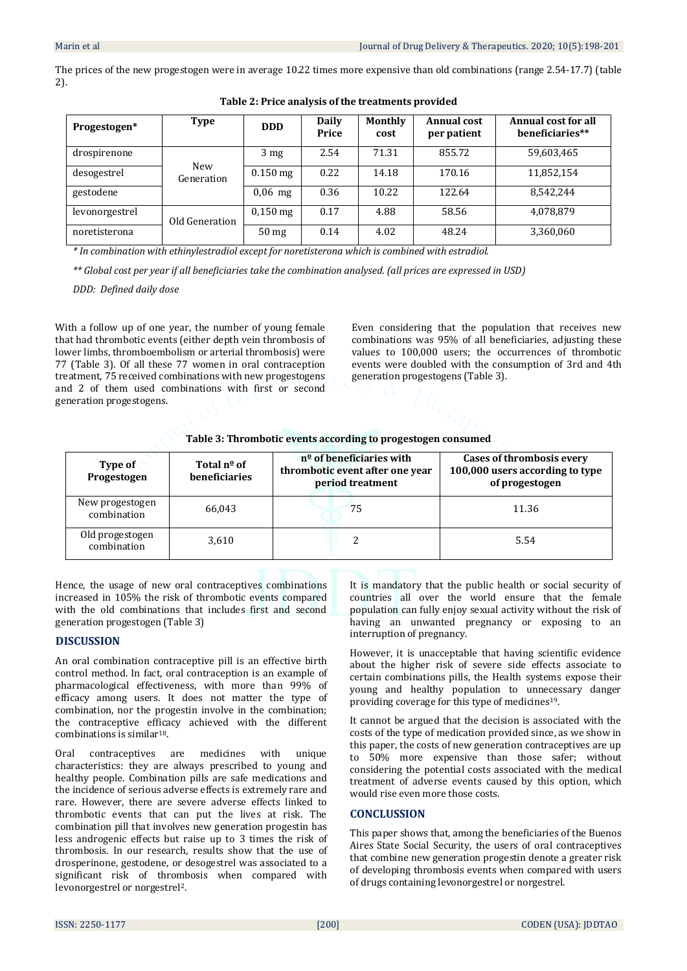The prices of the new progestogen were in average 10.22 times more expensive than old combinations (range 2.54-17.7) (table 2).

| Progestogen*   | <b>Type</b>       | <b>DDD</b>       | Daily<br>Price | Monthly<br>cost | <b>Annual cost</b><br>per patient | <b>Annual cost for all</b><br>beneficiaries** |
|----------------|-------------------|------------------|----------------|-----------------|-----------------------------------|-----------------------------------------------|
| drospirenone   | New<br>Generation | 3 <sub>mg</sub>  | 2.54           | 71.31           | 855.72                            | 59,603,465                                    |
| desogestrel    |                   | $0.150$ mg       | 0.22           | 14.18           | 170.16                            | 11,852,154                                    |
| gestodene      |                   | $0.06$ mg        | 0.36           | 10.22           | 122.64                            | 8,542,244                                     |
| levonorgestrel | Old Generation    | $0.150$ mg       | 0.17           | 4.88            | 58.56                             | 4,078,879                                     |
| noretisterona  |                   | 50 <sub>mg</sub> | 0.14           | 4.02            | 48.24                             | 3,360,060                                     |

**Table 2: Price analysis of the treatments provided**

*\* In combination with ethinylestradiol except for noretisterona which is combined with estradiol.* 

*\*\* Global cost per year if all beneficiaries take the combination analysed. (all prices are expressed in USD)*

*DDD: Defined daily dose*

With a follow up of one year, the number of young female that had thrombotic events (either depth vein thrombosis of lower limbs, thromboembolism or arterial thrombosis) were 77 (Table 3). Of all these 77 women in oral contraception treatment, 75 received combinations with new progestogens and 2 of them used combinations with first or second generation progestogens.

Even considering that the population that receives new combinations was 95% of all beneficiaries, adjusting these values to 100,000 users; the occurrences of thrombotic events were doubled with the consumption of 3rd and 4th generation progestogens (Table 3).

|  |  | Table 3: Thrombotic events according to progestogen consumed |
|--|--|--------------------------------------------------------------|
|--|--|--------------------------------------------------------------|

| Type of<br>Progestogen         | Total nº of<br>beneficiaries | $no$ of beneficiaries with<br>thrombotic event after one year<br>period treatment | Cases of thrombosis every<br>100,000 users according to type<br>of progestogen |
|--------------------------------|------------------------------|-----------------------------------------------------------------------------------|--------------------------------------------------------------------------------|
| New progestogen<br>combination | 66,043                       | 75                                                                                | 11.36                                                                          |
| Old progestogen<br>combination | 3,610                        |                                                                                   | 5.54                                                                           |

Hence, the usage of new oral contraceptives combinations increased in 105% the risk of thrombotic events compared with the old combinations that includes first and second generation progestogen (Table 3)

## **DISCUSSION**

An oral combination contraceptive pill is an effective birth control method. In fact, oral contraception is an example of pharmacological effectiveness, with more than 99% of efficacy among users. It does not matter the type of combination, nor the progestin involve in the combination; the contraceptive efficacy achieved with the different combinations is similar18.

Oral contraceptives are medicines with unique characteristics: they are always prescribed to young and healthy people. Combination pills are safe medications and the incidence of serious adverse effects is extremely rare and rare. However, there are severe adverse effects linked to thrombotic events that can put the lives at risk. The combination pill that involves new generation progestin has less androgenic effects but raise up to 3 times the risk of thrombosis. In our research, results show that the use of drosperinone, gestodene, or desogestrel was associated to a significant risk of thrombosis when compared with levonorgestrel or norgestrel2.

It is mandatory that the public health or social security of countries all over the world ensure that the female population can fully enjoy sexual activity without the risk of having an unwanted pregnancy or exposing to an interruption of pregnancy.

However, it is unacceptable that having scientific evidence about the higher risk of severe side effects associate to certain combinations pills, the Health systems expose their young and healthy population to unnecessary danger providing coverage for this type of medicines19.

It cannot be argued that the decision is associated with the costs of the type of medication provided since, as we show in this paper, the costs of new generation contraceptives are up to 50% more expensive than those safer; without considering the potential costs associated with the medical treatment of adverse events caused by this option, which would rise even more those costs.

# **CONCLUSSION**

This paper shows that, among the beneficiaries of the Buenos Aires State Social Security, the users of oral contraceptives that combine new generation progestin denote a greater risk of developing thrombosis events when compared with users of drugs containing levonorgestrel or norgestrel.